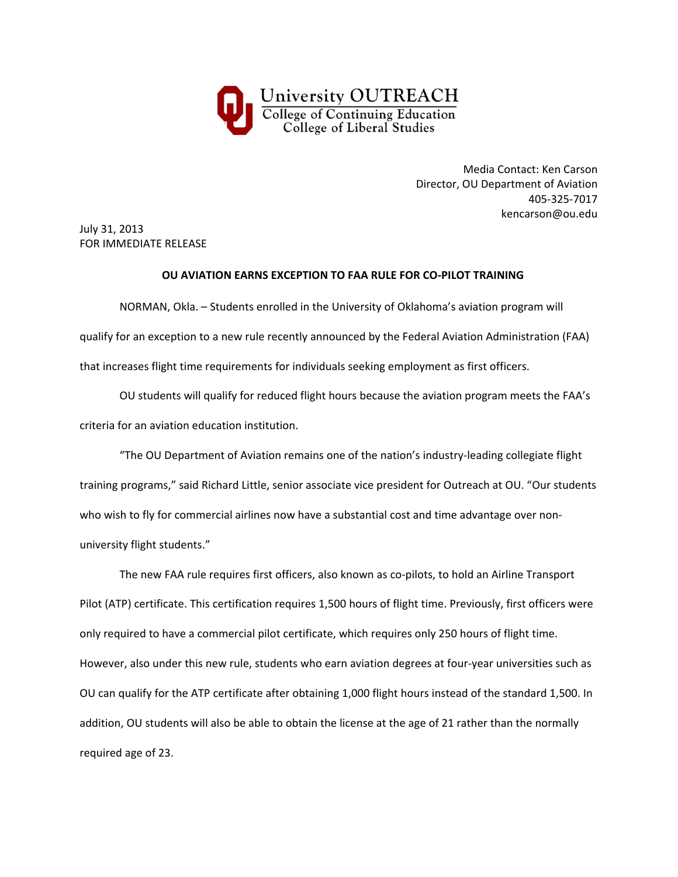

Media Contact: Ken Carson Director, OU Department of Aviation 405‐325‐7017 kencarson@ou.edu

July 31, 2013 FOR IMMEDIATE RELEASE

## **OU AVIATION EARNS EXCEPTION TO FAA RULE FOR CO‐PILOT TRAINING**

NORMAN, Okla. – Students enrolled in the University of Oklahoma's aviation program will qualify for an exception to a new rule recently announced by the Federal Aviation Administration (FAA) that increases flight time requirements for individuals seeking employment as first officers.

OU students will qualify for reduced flight hours because the aviation program meets the FAA's criteria for an aviation education institution.

"The OU Department of Aviation remains one of the nation's industry‐leading collegiate flight training programs," said Richard Little, senior associate vice president for Outreach at OU. "Our students who wish to fly for commercial airlines now have a substantial cost and time advantage over nonuniversity flight students."

The new FAA rule requires first officers, also known as co-pilots, to hold an Airline Transport Pilot (ATP) certificate. This certification requires 1,500 hours of flight time. Previously, first officers were only required to have a commercial pilot certificate, which requires only 250 hours of flight time. However, also under this new rule, students who earn aviation degrees at four‐year universities such as OU can qualify for the ATP certificate after obtaining 1,000 flight hours instead of the standard 1,500. In addition, OU students will also be able to obtain the license at the age of 21 rather than the normally required age of 23.